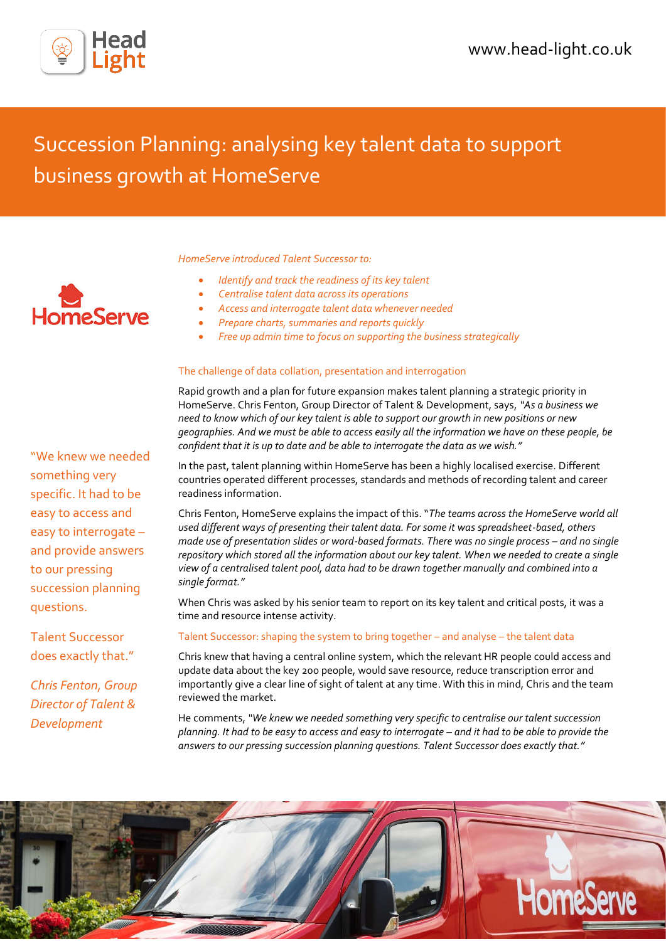

# Succession Planning: analysing key talent data to support business growth at HomeServe

*HomeServe introduced Talent Successor to:*

- *Identify and track the readiness of its key talent*
- *Centralise talent data across its operations*
- *Access and interrogate talent data whenever needed*
- *Prepare charts, summaries and reports quickly*
- *Free up admin time to focus on supporting the business strategically*

## The challenge of data collation, presentation and interrogation

Rapid growth and a plan for future expansion makes talent planning a strategic priority in HomeServe. Chris Fenton, Group Director of Talent & Development, says, *"As a business we need to know which of our key talent is able to support our growth in new positions or new geographies. And we must be able to access easily all the information we have on these people, be confident that it is up to date and be able to interrogate the data as we wish."*

In the past, talent planning within HomeServe has been a highly localised exercise. Different countries operated different processes, standards and methods of recording talent and career readiness information.

Chris Fenton, HomeServe explains the impact of this. "*The teams across the HomeServe world all used different ways of presenting their talent data. For some it was spreadsheet-based, others made use of presentation slides or word-based formats. There was no single process – and no single repository which stored all the information about our key talent. When we needed to create a single view of a centralised talent pool, data had to be drawn together manually and combined into a single format."*

When Chris was asked by his senior team to report on its key talent and critical posts, it was a time and resource intense activity.

### Talent Successor: shaping the system to bring together – and analyse – the talent data

Chris knew that having a central online system, which the relevant HR people could access and update data about the key 200 people, would save resource, reduce transcription error and importantly give a clear line of sight of talent at any time. With this in mind, Chris and the team reviewed the market.

He comments, *"We knew we needed something very specific to centralise our talent succession planning. It had to be easy to access and easy to interrogate – and it had to be able to provide the answers to our pressing succession planning questions. Talent Successor does exactly that."*





"We knew we needed something very specific. It had to be easy to access and easy to interrogate – and provide answers to our pressing succession planning questions.

Talent Successor does exactly that."

*Chris Fenton, Group Director of Talent & Development*